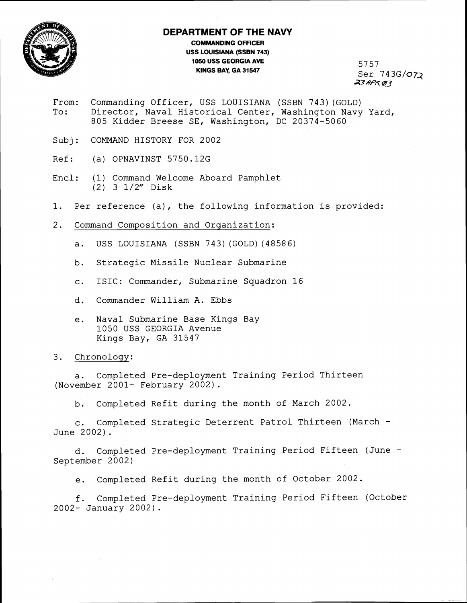

## **DEPARTMENT OF THE NAVY**

**COMMANDING OFFICER USS LOUISIANA (SSBN 743) 1050 USS GEORGIA AVE KINGS BAY, GA 31547** 

5757 Ser 743G/072 **43HPK QJ3** 

- From: Commanding Officer, USS LOUISIANA (SSBN 743) (GOLD) To: Director, Naval Historical Center, Washington Navy Yard, 805 Kidder Breese SE, Washington, DC 20374-5060
- Subj: COMMAND HISTORY FOR 2002
- Ref: (a) OPNAVINST 5750.12G
- Encl: (1) Command Welcome Aboard Pamphlet (2) 3 1/2" Disk
- 1. Per reference (a), the following information is provided:
- 2. Command Composition and Organization:
	- a. USS LOUISIANA (SSBN 743) (GOLD) (48586)
	- b. Strategic Missile Nuclear Submarine
	- c. ISIC: Commander, Submarine Squadron 16
	- d. Commander William A. Ebbs
	- e. Naval Submarine Base Kings Bay 1050 USS GEORGIA Avenue Kings Bay, GA 31547

## 3. Chronology:

a. Completed Pre-deployment Training Period Thirteen (November 2001- February 2002) .

b. Completed Refit during the month of March 2002.

c. Completed Strategic Deterrent Patrol Thirteen (March - June 2002).

d. Completed Pre-deployment Training Period Fifteen (June - September 2002)

e. Completed Refit during the month of October 2002.

f. Completed Pre-deployment Training Period Fifteen (October 2002- January 2002).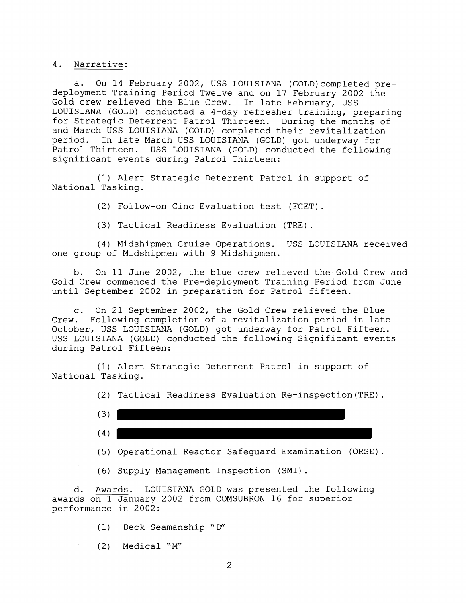4. Narrative:

a. On 14 February 2002, USS LOUISIANA (G0LD)completed predeployment Training Period Twelve and on 17 February 2002 the Gold crew relieved the Blue Crew. In late February, USS LOUISIANA (GOLD) conducted a 4-day refresher training, preparing for Strategic Deterrent Patrol Thirteen. During the months of and March USS LOUISIANA (GOLD) completed their revitalization period. In late March USS LOUISIANA (GOLD) got underway for Patrol Thirteen. USS LOUISIANA (GOLD) conducted the following significant events during Patrol Thirteen:

(1) Alert Strategic Deterrent Patrol in support of National Tasking.

(2) Follow-on Cinc Evaluation test (FCET).

(3) Tactical Readiness Evaluation (TRE) .

(4) Midshipmen Cruise Operations. USS LOUISIANA received one group of Midshipmen with 9 Midshipmen.

b. On 11 June 2002, the blue crew relieved the Gold Crew and Gold Crew commenced the Pre-deployment Training Period from June until September 2002 in preparation for Patrol fifteen.

c. On 21 September 2002, the Gold Crew relieved the Blue Crew. Following completion of a revitalization period in late October, USS LOUISIANA (GOLD) got underway for Patrol Fifteen. USS LOUISIANA (GOLD) conducted the following Significant events during Patrol Fifteen:

(1) Alert Strategic Deterrent Patrol in support of National Tasking.

(2) Tactical Readiness Evaluation Re-inspection(TRE).

| $\sim$<br>$\mathcal{L}$ |  |
|-------------------------|--|
| (4)                     |  |

(5) Operational Reactor Safeguard Examination (ORSE).

(6) Supply Management Inspection (SMI).

d. Awards. LOUISIANA GOLD was presented the following awards on 1 January 2002 from COMSUBRON 16 for superior performance in 2002:

(1) Deck Seamanship 'D"

(2) Medical "M"